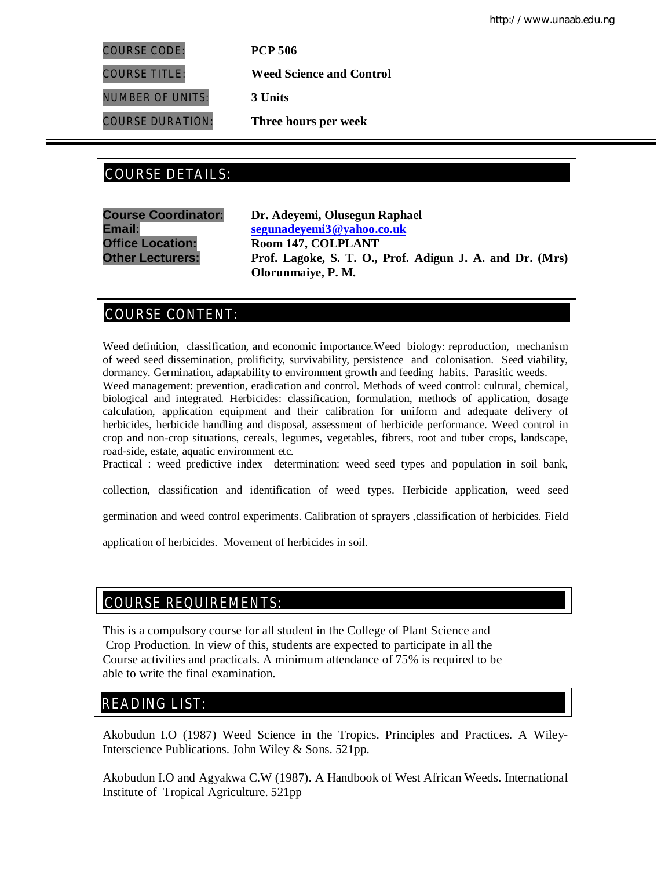COURSE CODE: **PCP 506**

COURSE TITLE: **Weed Science and Control**

NUMBER OF UNITS: **3 Units**

COURSE DURATION: **Three hours per week**

# COURSE DETAILS: COURSE DETAILS:

**Course Coordinator: Dr. Adeyemi, Olusegun Raphael Email: segunadeyemi3@yahoo.co.uk Office Location: Room 147, COLPLANT Other Lecturers: Prof. Lagoke, S. T. O., Prof. Adigun J. A. and Dr. (Mrs) Olorunmaiye, P. M.**

# COURSE CONTENT:

Weed definition, classification, and economic importance.Weed biology: reproduction, mechanism of weed seed dissemination, prolificity, survivability, persistence and colonisation. Seed viability, dormancy. Germination, adaptability to environment growth and feeding habits. Parasitic weeds. Weed management: prevention, eradication and control. Methods of weed control: cultural, chemical, biological and integrated. Herbicides: classification, formulation, methods of application, dosage calculation, application equipment and their calibration for uniform and adequate delivery of herbicides, herbicide handling and disposal, assessment of herbicide performance. Weed control in crop and non-crop situations, cereals, legumes, vegetables, fibrers, root and tuber crops, landscape, road-side, estate, aquatic environment etc.

Practical : weed predictive index determination: weed seed types and population in soil bank,

collection, classification and identification of weed types. Herbicide application, weed seed

germination and weed control experiments. Calibration of sprayers ,classification of herbicides. Field

application of herbicides. Movement of herbicides in soil.

## COURSE REQUIREMENTS:

This is a compulsory course for all student in the College of Plant Science and Crop Production. In view of this, students are expected to participate in all the Course activities and practicals. A minimum attendance of 75% is required to be able to write the final examination.

# READING LIST:

Akobudun I.O (1987) Weed Science in the Tropics. Principles and Practices. A Wiley-Interscience Publications. John Wiley & Sons. 521pp.

Akobudun I.O and Agyakwa C.W (1987). A Handbook of West African Weeds. International Institute of Tropical Agriculture. 521pp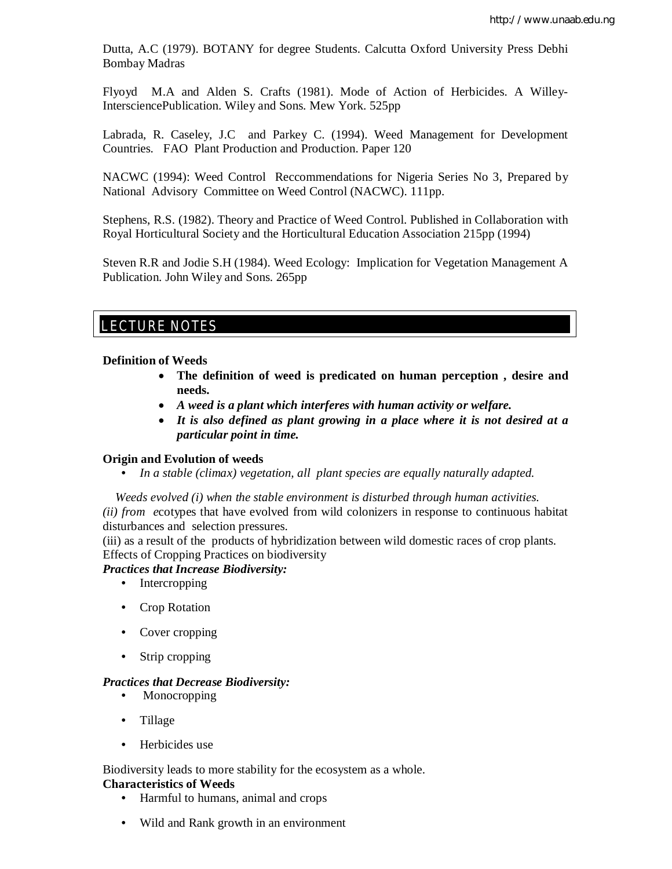Dutta, A.C (1979). BOTANY for degree Students. Calcutta Oxford University Press Debhi Bombay Madras

Flyoyd M.A and Alden S. Crafts (1981). Mode of Action of Herbicides. A Willey-IntersciencePublication. Wiley and Sons. Mew York. 525pp

Labrada, R. Caseley, J.C and Parkey C. (1994). Weed Management for Development Countries. FAO Plant Production and Production. Paper 120

NACWC (1994): Weed Control Reccommendations for Nigeria Series No 3, Prepared by National Advisory Committee on Weed Control (NACWC). 111pp.

Stephens, R.S. (1982). Theory and Practice of Weed Control. Published in Collaboration with Royal Horticultural Society and the Horticultural Education Association 215pp (1994)

Steven R.R and Jodie S.H (1984). Weed Ecology: Implication for Vegetation Management A Publication. John Wiley and Sons. 265pp

## E LECTURE NOTES

#### **Definition of Weeds**

- **The definition of weed is predicated on human perception , desire and needs.**
- *A weed is a plant which interferes with human activity or welfare.*
- *It is also defined as plant growing in a place where it is not desired at a particular point in time.*

#### **Origin and Evolution of weeds**

• *In a stable (climax) vegetation, all plant species are equally naturally adapted.*

 *Weeds evolved (i) when the stable environment is disturbed through human activities. (ii) from e*cotypes that have evolved from wild colonizers in response to continuous habitat disturbances and selection pressures.

(iii) as a result of the products of hybridization between wild domestic races of crop plants. Effects of Cropping Practices on biodiversity

### *Practices that Increase Biodiversity:*

- Intercropping
- Crop Rotation
- Cover cropping
- Strip cropping

#### *Practices that Decrease Biodiversity:*

- Monocropping
- Tillage
- Herbicides use

Biodiversity leads to more stability for the ecosystem as a whole.

## **Characteristics of Weeds**

- Harmful to humans, animal and crops
- Wild and Rank growth in an environment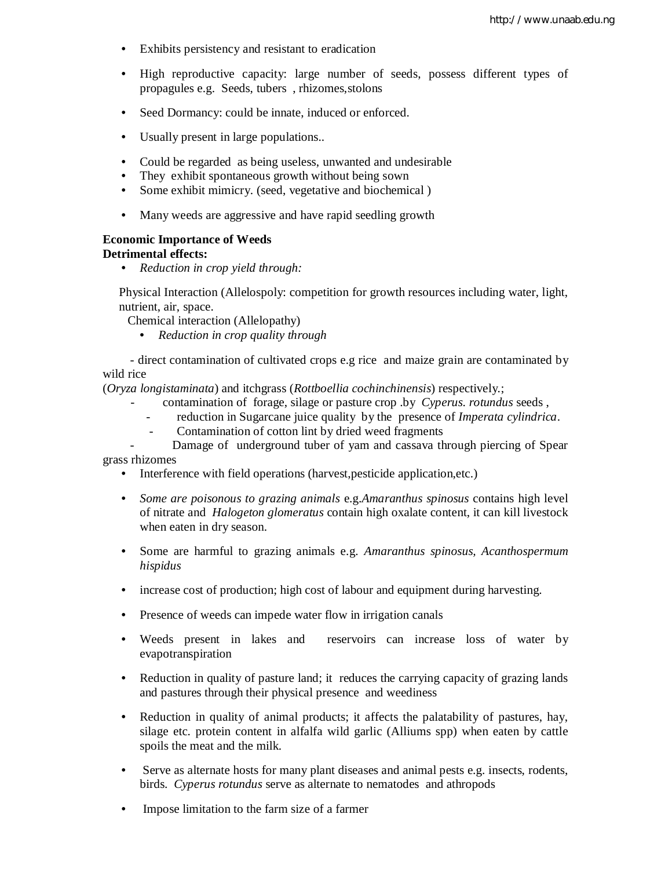- Exhibits persistency and resistant to eradication
- High reproductive capacity: large number of seeds, possess different types of propagules e.g. Seeds, tubers , rhizomes,stolons
- Seed Dormancy: could be innate, induced or enforced.
- Usually present in large populations..
- Could be regarded as being useless, unwanted and undesirable
- They exhibit spontaneous growth without being sown
- Some exhibit mimicry. (seed, vegetative and biochemical)
- Many weeds are aggressive and have rapid seedling growth

#### **Economic Importance of Weeds**

#### **Detrimental effects:**

• *Reduction in crop yield through:*

Physical Interaction (Allelospoly: competition for growth resources including water, light, nutrient, air, space.

- Chemical interaction (Allelopathy)
	- *Reduction in crop quality through*

 - direct contamination of cultivated crops e.g rice and maize grain are contaminated by wild rice

(*Oryza longistaminata*) and itchgrass (*Rottboellia cochinchinensis*) respectively.;

- contamination of forage, silage or pasture crop .by *Cyperus. rotundus* seeds ,
	- reduction in Sugarcane juice quality by the presence of *Imperata cylindrica*.
- Contamination of cotton lint by dried weed fragments
- Damage of underground tuber of yam and cassava through piercing of Spear grass rhizomes
	- Interference with field operations (harvest, pesticide application, etc.)
	- *Some are poisonous to grazing animals* e.g.*Amaranthus spinosus* contains high level of nitrate and *Halogeton glomeratus* contain high oxalate content, it can kill livestock when eaten in dry season.
	- Some are harmful to grazing animals e.g. *Amaranthus spinosus, Acanthospermum hispidus*
	- increase cost of production; high cost of labour and equipment during harvesting.
	- Presence of weeds can impede water flow in irrigation canals
	- Weeds present in lakes and reservoirs can increase loss of water by evapotranspiration
	- Reduction in quality of pasture land; it reduces the carrying capacity of grazing lands and pastures through their physical presence and weediness
	- Reduction in quality of animal products; it affects the palatability of pastures, hay, silage etc. protein content in alfalfa wild garlic (Alliums spp) when eaten by cattle spoils the meat and the milk.
	- Serve as alternate hosts for many plant diseases and animal pests e.g. insects, rodents, birds. *Cyperus rotundus* serve as alternate to nematodes and athropods
	- Impose limitation to the farm size of a farmer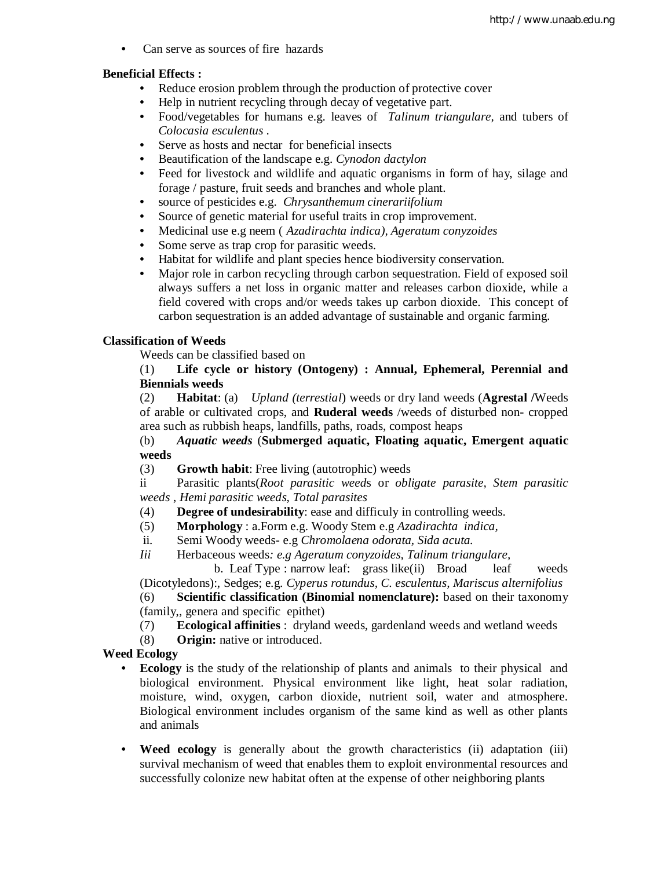• Can serve as sources of fire hazards

## **Beneficial Effects :**

- Reduce erosion problem through the production of protective cover
- Help in nutrient recycling through decay of vegetative part.
- Food/vegetables for humans e.g. leaves of *Talinum triangulare,* and tubers of *Colocasia esculentus* .
- Serve as hosts and nectar for beneficial insects
- Beautification of the landscape e.g. *Cynodon dactylon*
- Feed for livestock and wildlife and aquatic organisms in form of hay, silage and forage / pasture, fruit seeds and branches and whole plant.
- source of pesticides e.g. *Chrysanthemum cinerariifolium*
- Source of genetic material for useful traits in crop improvement.
- Medicinal use e.g neem ( *Azadirachta indica), Ageratum conyzoides*
- Some serve as trap crop for parasitic weeds.
- Habitat for wildlife and plant species hence biodiversity conservation.
- Major role in carbon recycling through carbon sequestration. Field of exposed soil always suffers a net loss in organic matter and releases carbon dioxide, while a field covered with crops and/or weeds takes up carbon dioxide. This concept of carbon sequestration is an added advantage of sustainable and organic farming.

## **Classification of Weeds**

Weeds can be classified based on

(1) **Life cycle or history (Ontogeny) : Annual, Ephemeral, Perennial and Biennials weeds**

(2) **Habitat**: (a) *Upland (terrestial*) weeds or dry land weeds (**Agrestal /**Weeds of arable or cultivated crops, and **Ruderal weeds** /weeds of disturbed non- cropped area such as rubbish heaps, landfills, paths, roads, compost heaps

## (b) *Aquatic weeds* (**Submerged aquatic, Floating aquatic, Emergent aquatic weeds**

(3) **Growth habit**: Free living (autotrophic) weeds

ii Parasitic plants(*Root parasitic weed*s or *obligate parasite, Stem parasitic weeds* , *Hemi parasitic weeds, Total parasites*

- (4) **Degree of undesirability**: ease and difficuly in controlling weeds.
- (5) **Morphology** : a.Form e.g. Woody Stem e.g *Azadirachta indica,*
- ii. Semi Woody weeds- e.g *Chromolaena odorata, Sida acuta.*
- *Iii* Herbaceous weeds*: e.g Ageratum conyzoides, Talinum triangulare,*

b. Leaf Type : narrow leaf: grass like(ii) Broad leaf weeds (Dicotyledons):, Sedges; e.g. *Cyperus rotundus, C. esculentus, Mariscus alternifolius*

(6) **Scientific classification (Binomial nomenclature):** based on their taxonomy (family,, genera and specific epithet)

(7) **Ecological affinities** : dryland weeds, gardenland weeds and wetland weeds

(8) **Origin:** native or introduced.

## **Weed Ecology**

- **Ecology** is the study of the relationship of plants and animals to their physical and biological environment. Physical environment like light, heat solar radiation, moisture, wind, oxygen, carbon dioxide, nutrient soil, water and atmosphere. Biological environment includes organism of the same kind as well as other plants and animals
- **Weed ecology** is generally about the growth characteristics (ii) adaptation (iii) survival mechanism of weed that enables them to exploit environmental resources and successfully colonize new habitat often at the expense of other neighboring plants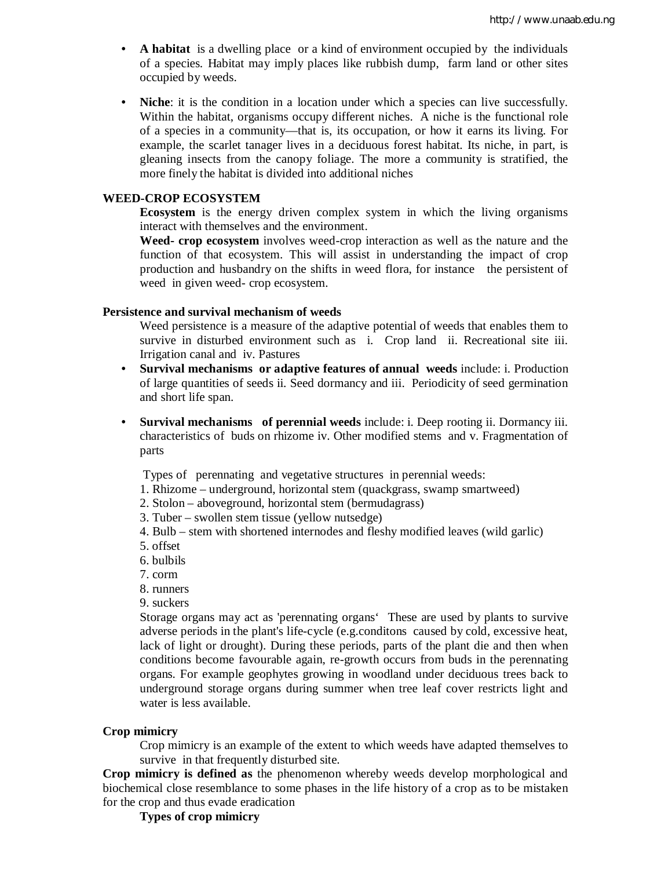- **A habitat** is a dwelling place or a kind of environment occupied by the individuals of a species. Habitat may imply places like rubbish dump, farm land or other sites occupied by weeds.
- **Niche**: it is the condition in a location under which a species can live successfully. Within the habitat, organisms occupy different niches. A niche is the functional role of a species in a community—that is, its occupation, or how it earns its living. For example, the scarlet tanager lives in a deciduous forest habitat. Its niche, in part, is gleaning insects from the canopy foliage. The more a community is stratified, the more finely the habitat is divided into additional niches

#### **WEED-CROP ECOSYSTEM**

**Ecosystem** is the energy driven complex system in which the living organisms interact with themselves and the environment.

**Weed- crop ecosystem** involves weed-crop interaction as well as the nature and the function of that ecosystem. This will assist in understanding the impact of crop production and husbandry on the shifts in weed flora, for instance the persistent of weed in given weed- crop ecosystem.

#### **Persistence and survival mechanism of weeds**

Weed persistence is a measure of the adaptive potential of weeds that enables them to survive in disturbed environment such as i. Crop land ii. Recreational site iii. Irrigation canal and iv. Pastures

- **Survival mechanisms or adaptive features of annual weeds** include: i. Production of large quantities of seeds ii. Seed dormancy and iii. Periodicity of seed germination and short life span.
- **Survival mechanisms of perennial weeds** include: i. Deep rooting ii. Dormancy iii. characteristics of buds on rhizome iv. Other modified stems and v. Fragmentation of parts

Types of perennating and vegetative structures in perennial weeds:

- 1. Rhizome underground, horizontal stem (quackgrass, swamp smartweed)
- 2. Stolon aboveground, horizontal stem (bermudagrass)
- 3. Tuber swollen stem tissue (yellow nutsedge)
- 4. Bulb stem with shortened internodes and fleshy modified leaves (wild garlic)
- 5. offset
- 6. bulbils
- 7. corm
- 8. runners
- 9. suckers

Storage organs may act as 'perennating organs' These are used by plants to survive adverse periods in the plant's life-cycle (e.g.conditons caused by cold, excessive heat, lack of light or drought). During these periods, parts of the plant die and then when conditions become favourable again, re-growth occurs from buds in the perennating organs. For example geophytes growing in woodland under deciduous trees back to underground storage organs during summer when tree leaf cover restricts light and water is less available.

### **Crop mimicry**

Crop mimicry is an example of the extent to which weeds have adapted themselves to survive in that frequently disturbed site.

**Crop mimicry is defined as** the phenomenon whereby weeds develop morphological and biochemical close resemblance to some phases in the life history of a crop as to be mistaken for the crop and thus evade eradication

#### **Types of crop mimicry**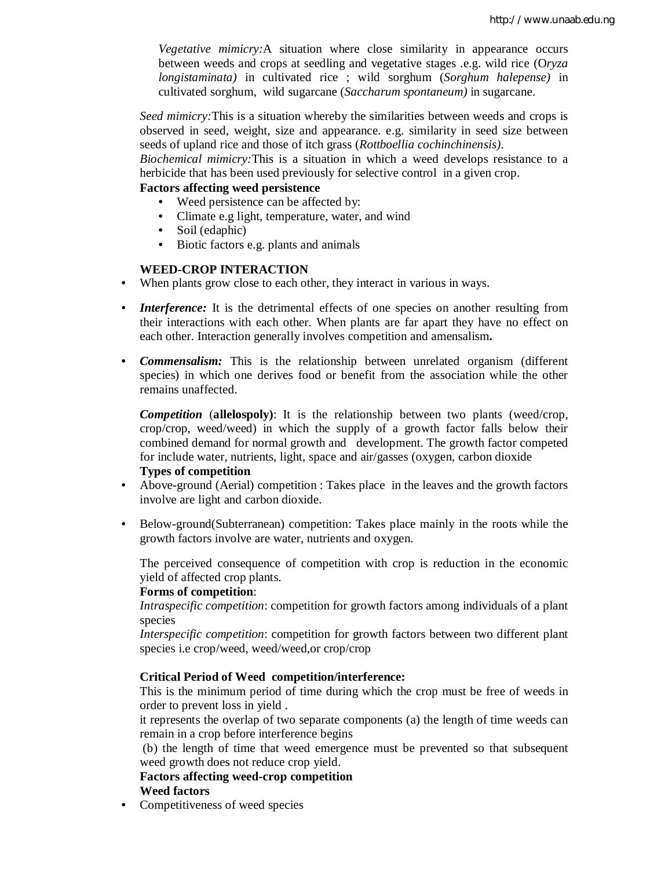*Vegetative mimicry:*A situation where close similarity in appearance occurs between weeds and crops at seedling and vegetative stages .e.g. wild rice (O*ryza longistaminata)* in cultivated rice ; wild sorghum (*Sorghum halepense)* in cultivated sorghum, wild sugarcane (*Saccharum spontaneum)* in sugarcane.

*Seed mimicry:*This is a situation whereby the similarities between weeds and crops is observed in seed, weight, size and appearance. e.g. similarity in seed size between seeds of upland rice and those of itch grass (*Rottboellia cochinchinensis)*.

*Biochemical mimicry:*This is a situation in which a weed develops resistance to a herbicide that has been used previously for selective control in a given crop.

## **Factors affecting weed persistence**

- Weed persistence can be affected by:
- Climate e.g light, temperature, water, and wind
- Soil (edaphic)
- Biotic factors e.g. plants and animals

#### **WEED-CROP INTERACTION**

- When plants grow close to each other, they interact in various in ways.
- *Interference:* It is the detrimental effects of one species on another resulting from their interactions with each other. When plants are far apart they have no effect on each other. Interaction generally involves competition and amensalism**.**
- *Commensalism:* This is the relationship between unrelated organism (different species) in which one derives food or benefit from the association while the other remains unaffected.

*Competition* (**allelospoly)**: It is the relationship between two plants (weed/crop, crop/crop, weed/weed) in which the supply of a growth factor falls below their combined demand for normal growth and development. The growth factor competed for include water, nutrients, light, space and air/gasses (oxygen, carbon dioxide **Types of competition**

## • Above-ground (Aerial) competition : Takes place in the leaves and the growth factors involve are light and carbon dioxide.

• Below-ground(Subterranean) competition: Takes place mainly in the roots while the growth factors involve are water, nutrients and oxygen.

The perceived consequence of competition with crop is reduction in the economic yield of affected crop plants.

## **Forms of competition**:

*Intraspecific competition*: competition for growth factors among individuals of a plant species

*Interspecific competition*: competition for growth factors between two different plant species i.e crop/weed, weed/weed,or crop/crop

### **Critical Period of Weed competition/interference:**

This is the minimum period of time during which the crop must be free of weeds in order to prevent loss in yield .

it represents the overlap of two separate components (a) the length of time weeds can remain in a crop before interference begins

(b) the length of time that weed emergence must be prevented so that subsequent weed growth does not reduce crop yield.

## **Factors affecting weed-crop competition Weed factors**

• Competitiveness of weed species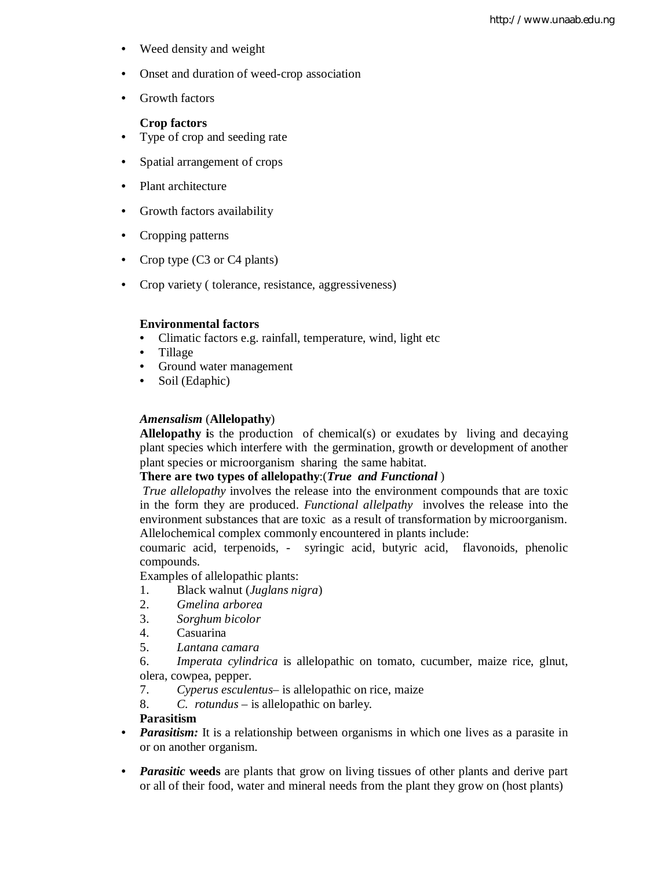- Weed density and weight
- Onset and duration of weed-crop association
- Growth factors

#### **Crop factors**

- Type of crop and seeding rate
- Spatial arrangement of crops
- Plant architecture
- Growth factors availability
- Cropping patterns
- Crop type (C3 or C4 plants)
- Crop variety ( tolerance, resistance, aggressiveness)

#### **Environmental factors**

- Climatic factors e.g. rainfall, temperature, wind, light etc
- Tillage
- Ground water management
- Soil (Edaphic)

#### *Amensalism* (**Allelopathy**)

**Allelopathy i**s the production of chemical(s) or exudates by living and decaying plant species which interfere with the germination, growth or development of another plant species or microorganism sharing the same habitat.

## **There are two types of allelopathy**:(*True and Functional* )

*True allelopathy* involves the release into the environment compounds that are toxic in the form they are produced. *Functional allelpathy* involves the release into the environment substances that are toxic as a result of transformation by microorganism. Allelochemical complex commonly encountered in plants include:

coumaric acid, terpenoids, - syringic acid, butyric acid, flavonoids, phenolic compounds.

Examples of allelopathic plants:

- 1. Black walnut (*Juglans nigra*)
- 2. *Gmelina arborea*
- 3. *Sorghum bicolor*
- 4. Casuarina
- 5. *Lantana camara*

6. *Imperata cylindrica* is allelopathic on tomato, cucumber, maize rice, glnut, olera, cowpea, pepper.

- 7. *Cyperus esculentus* is allelopathic on rice, maize
- 8. *C. rotundus* is allelopathic on barley.

### **Parasitism**

- *Parasitism:* It is a relationship between organisms in which one lives as a parasite in or on another organism.
- *Parasitic* weeds are plants that grow on living tissues of other plants and derive part or all of their food, water and mineral needs from the plant they grow on (host plants)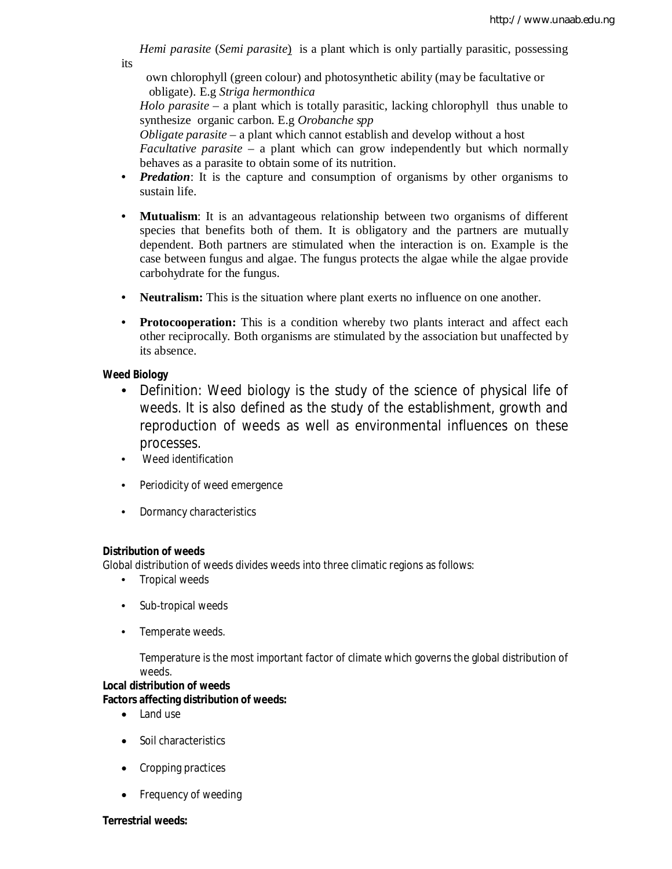*Hemi parasite* (*Semi parasite*) is a plant which is only partially parasitic, possessing its

own chlorophyll (green colour) and photosynthetic ability (may be facultative or obligate). E.g *Striga hermonthica* 

*Holo parasite* – a plant which is totally parasitic, lacking chlorophyll thus unable to synthesize organic carbon. E.g *Orobanche spp* 

*Obligate parasite* – a plant which cannot establish and develop without a host *Facultative parasite* – a plant which can grow independently but which normally behaves as a parasite to obtain some of its nutrition.

- *Predation*: It is the capture and consumption of organisms by other organisms to sustain life.
- **Mutualism**: It is an advantageous relationship between two organisms of different species that benefits both of them. It is obligatory and the partners are mutually dependent. Both partners are stimulated when the interaction is on. Example is the case between fungus and algae. The fungus protects the algae while the algae provide carbohydrate for the fungus.
- **Neutralism:** This is the situation where plant exerts no influence on one another.
- **Protocooperation:** This is a condition whereby two plants interact and affect each other reciprocally. Both organisms are stimulated by the association but unaffected by its absence.

## **Weed Biology**

- Definition: Weed biology is the study of the science of physical life of weeds. It is also defined as the study of the establishment, growth and reproduction of weeds as well as environmental influences on these processes.
- Weed identification
- Periodicity of weed emergence
- Dormancy characteristics

## **Distribution of weeds**

Global distribution of weeds divides weeds into three climatic regions as follows:

- Tropical weeds
- Sub-tropical weeds
- Temperate weeds.

Temperature is the most important factor of climate which governs the global distribution of weeds.

#### **Local distribution of weeds**

## **Factors affecting distribution of weeds:**

- Land use
- Soil characteristics
- Cropping practices
- Frequency of weeding

#### **Terrestrial weeds:**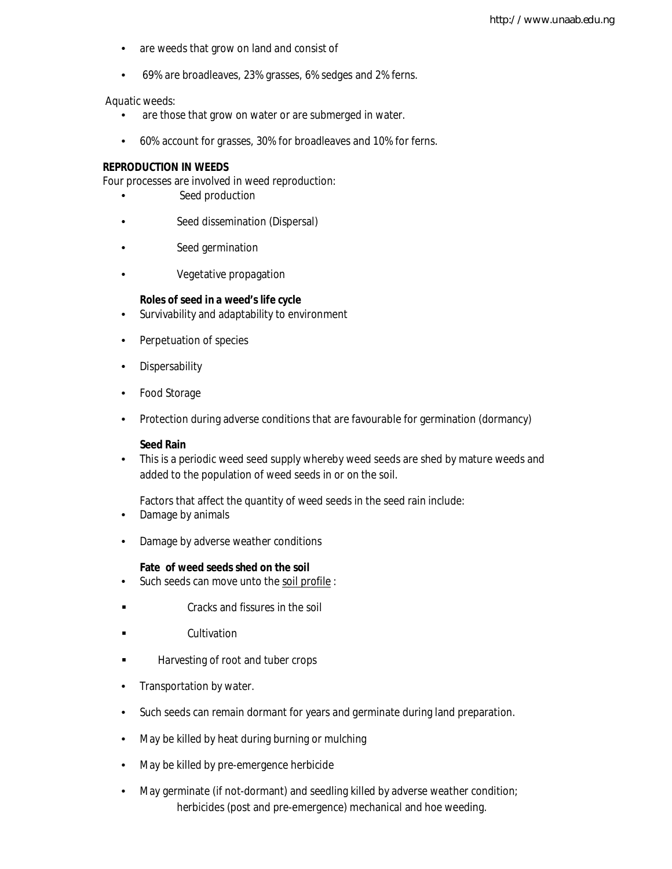- are weeds that grow on land and consist of
- 69% are broadleaves, 23% grasses, 6% sedges and 2% ferns.

Aquatic weeds:

- are those that grow on water or are submerged in water.
- 60% account for grasses, 30% for broadleaves and 10% for ferns.

#### **REPRODUCTION IN WEEDS**

Four processes are involved in weed reproduction:

- Seed production
- Seed dissemination (Dispersal)
- Seed germination
- Vegetative propagation

#### **Roles of seed in a weed's life cycle**

- Survivability and adaptability to environment
- Perpetuation of species
- Dispersability
- Food Storage
- Protection during adverse conditions that are favourable for germination (dormancy)

#### **Seed Rain**

• This is a periodic weed seed supply whereby weed seeds are shed by mature weeds and added to the population of weed seeds in or on the soil.

Factors that affect the quantity of weed seeds in the seed rain include:

- Damage by animals
- Damage by adverse weather conditions

#### **Fate of weed seeds shed on the soil**

- Such seeds can move unto the soil profile :
- Cracks and fissures in the soil
- **Example 2** Cultivation
- **Harvesting of root and tuber crops**
- Transportation by water.
- Such seeds can remain dormant for years and germinate during land preparation.
- May be killed by heat during burning or mulching
- May be killed by pre-emergence herbicide
- May germinate (if not-dormant) and seedling killed by adverse weather condition; herbicides (post and pre-emergence) mechanical and hoe weeding.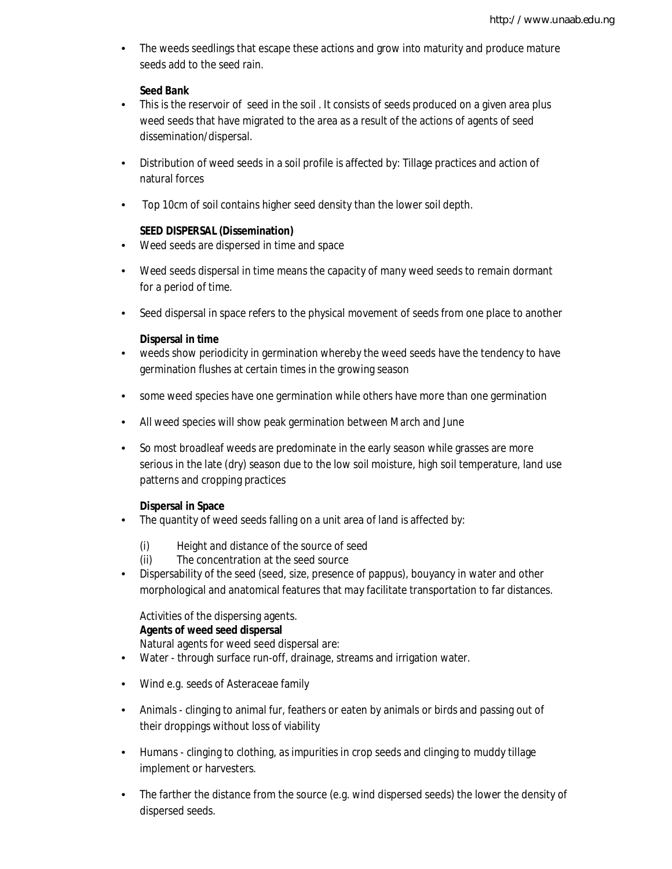• The weeds seedlings that escape these actions and grow into maturity and produce mature seeds add to the seed rain.

## **Seed Bank**

- This is the reservoir of seed in the soil. It consists of seeds produced on a given area plus weed seeds that have migrated to the area as a result of the actions of agents of seed dissemination/dispersal.
- Distribution of weed seeds in a soil profile is affected by: Tillage practices and action of natural forces
- Top 10cm of soil contains higher seed density than the lower soil depth.

## **SEED DISPERSAL (Dissemination)**

- Weed seeds are dispersed in time and space
- Weed seeds dispersal in time means the capacity of many weed seeds to remain dormant for a period of time.
- Seed dispersal in space refers to the physical movement of seeds from one place to another

## **Dispersal in time**

- weeds show periodicity in germination whereby the weed seeds have the tendency to have germination flushes at certain times in the growing season
- some weed species have one germination while others have more than one germination
- All weed species will show peak germination between March and June
- So most broadleaf weeds are predominate in the early season while grasses are more serious in the late (dry) season due to the low soil moisture, high soil temperature, land use patterns and cropping practices

## **Dispersal in Space**

- The quantity of weed seeds falling on a unit area of land is affected by:
	- (i) Height and distance of the source of seed
	- (ii) The concentration at the seed source
- Dispersability of the seed (seed, size, presence of pappus), bouyancy in water and other morphological and anatomical features that may facilitate transportation to far distances.

## Activities of the dispersing agents.

## **Agents of weed seed dispersal**

Natural agents for weed seed dispersal are:

- Water through surface run-off, drainage, streams and irrigation water.
- Wind e.g. seeds of Asteraceae family
- Animals clinging to animal fur, feathers or eaten by animals or birds and passing out of their droppings without loss of viability
- Humans clinging to clothing, as impurities in crop seeds and clinging to muddy tillage implement or harvesters.
- The farther the distance from the source (e.g. wind dispersed seeds) the lower the density of dispersed seeds.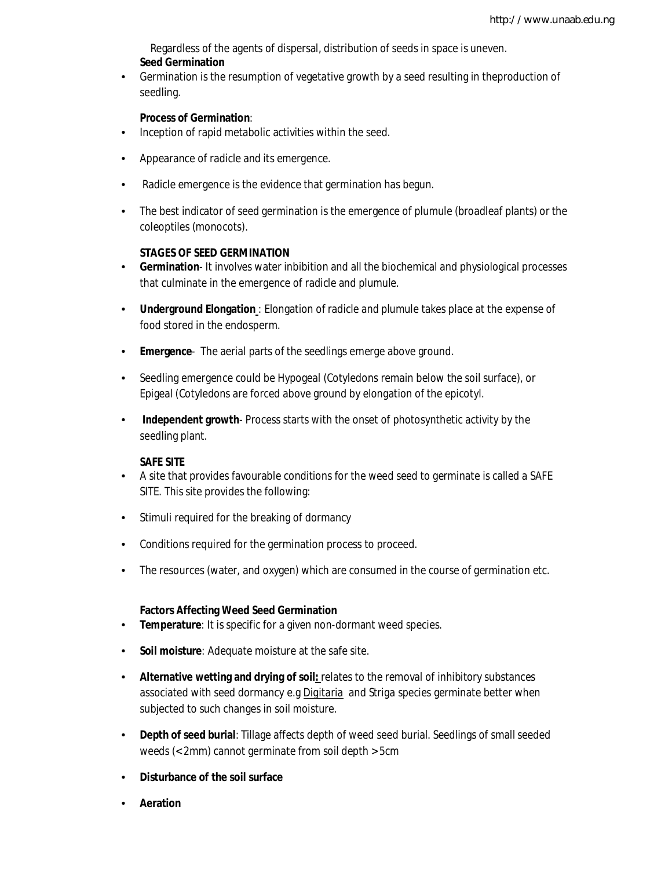Regardless of the agents of dispersal, distribution of seeds in space is uneven. **Seed Germination**

• Germination is the resumption of vegetative growth by a seed resulting in theproduction of seedling.

#### **Process of Germination**:

- Inception of rapid metabolic activities within the seed.
- Appearance of radicle and its emergence.
- Radicle emergence is the evidence that germination has begun.
- The best indicator of seed germination is the emergence of plumule (broadleaf plants) or the coleoptiles (monocots).

#### **STAGES OF SEED GERMINATION**

- **Germination** It involves water inbibition and all the biochemical and physiological processes that culminate in the emergence of radicle and plumule.
- **Underground Elongation** : Elongation of radicle and plumule takes place at the expense of food stored in the endosperm.
- **Emergence** The aerial parts of the seedlings emerge above ground.
- Seedling emergence could be Hypogeal (Cotyledons remain below the soil surface), or Epigeal (Cotyledons are forced above ground by elongation of the epicotyl.
- **Independent growth** Process starts with the onset of photosynthetic activity by the seedling plant.

#### **SAFE SITE**

- A site that provides favourable conditions for the weed seed to germinate is called a SAFE SITE. This site provides the following:
- Stimuli required for the breaking of dormancy
- Conditions required for the germination process to proceed.
- The resources (water, and oxygen) which are consumed in the course of germination etc.

#### **Factors Affecting Weed Seed Germination**

- **Temperature**: It is specific for a given non-dormant weed species.
- **Soil moisture**: Adequate moisture at the safe site.
- **Alternative wetting and drying of soil:** relates to the removal of inhibitory substances associated with seed dormancy e.g *Digitaria* and *Striga species* germinate better when subjected to such changes in soil moisture.
- **Depth of seed burial**: Tillage affects depth of weed seed burial. Seedlings of small seeded weeds (< 2mm) cannot germinate from soil depth > 5cm
- **Disturbance of the soil surface**
- **Aeration**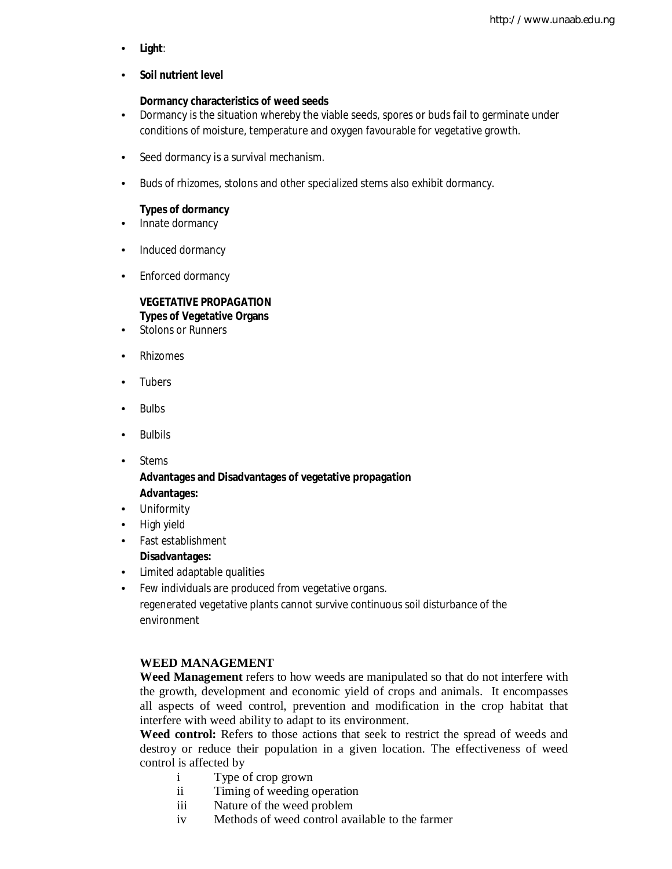• **Light**:

### • **Soil nutrient level**

### **Dormancy characteristics of weed seeds**

- Dormancy is the situation whereby the viable seeds, spores or buds fail to germinate under conditions of moisture, temperature and oxygen favourable for vegetative growth.
- Seed dormancy is a survival mechanism.
- Buds of rhizomes, stolons and other specialized stems also exhibit dormancy.

#### **Types of dormancy**

- Innate dormancy
- Induced dormancy
- Enforced dormancy

## **VEGETATIVE PROPAGATION Types of Vegetative Organs**

- Stolons or Runners
- Rhizomes
- Tubers
- Bulbs
- Bulbils
- Stems

## **Advantages and Disadvantages of vegetative propagation Advantages:**

- Uniformity
- High yield
- Fast establishment

## **Disadvantages:**

- Limited adaptable qualities
- Few individuals are produced from vegetative organs.

regenerated vegetative plants cannot survive continuous soil disturbance of the environment

## **WEED MANAGEMENT**

**Weed Management** refers to how weeds are manipulated so that do not interfere with the growth, development and economic yield of crops and animals. It encompasses all aspects of weed control, prevention and modification in the crop habitat that interfere with weed ability to adapt to its environment.

**Weed control:** Refers to those actions that seek to restrict the spread of weeds and destroy or reduce their population in a given location. The effectiveness of weed control is affected by

- i Type of crop grown
- ii Timing of weeding operation
- iii Nature of the weed problem
- iv Methods of weed control available to the farmer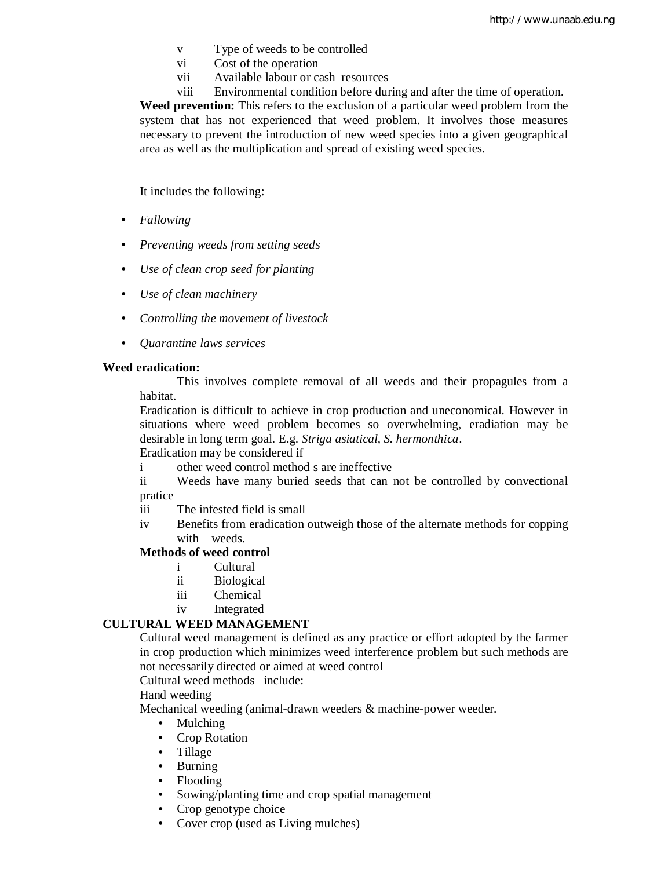- v Type of weeds to be controlled
- vi Cost of the operation
- vii Available labour or cash resources
- viii Environmental condition before during and after the time of operation.

**Weed prevention:** This refers to the exclusion of a particular weed problem from the system that has not experienced that weed problem. It involves those measures necessary to prevent the introduction of new weed species into a given geographical area as well as the multiplication and spread of existing weed species.

It includes the following:

- *Fallowing*
- *Preventing weeds from setting seeds*
- *Use of clean crop seed for planting*
- *Use of clean machinery*
- *Controlling the movement of livestock*
- *Quarantine laws services*

#### **Weed eradication:**

This involves complete removal of all weeds and their propagules from a habitat.

Eradication is difficult to achieve in crop production and uneconomical. However in situations where weed problem becomes so overwhelming, eradiation may be desirable in long term goal. E.g. *Striga asiatical, S. hermonthica*.

Eradication may be considered if

- i other weed control method s are ineffective
- ii Weeds have many buried seeds that can not be controlled by convectional pratice
- iii The infested field is small
- iv Benefits from eradication outweigh those of the alternate methods for copping with weeds.

#### **Methods of weed control**

- i Cultural
- ii Biological
- iii Chemical
- iv Integrated

### **CULTURAL WEED MANAGEMENT**

Cultural weed management is defined as any practice or effort adopted by the farmer in crop production which minimizes weed interference problem but such methods are not necessarily directed or aimed at weed control

Cultural weed methods include:

#### Hand weeding

Mechanical weeding (animal-drawn weeders & machine-power weeder.

- Mulching
- Crop Rotation
- Tillage
- Burning
- Flooding
- Sowing/planting time and crop spatial management
- Crop genotype choice
- Cover crop (used as Living mulches)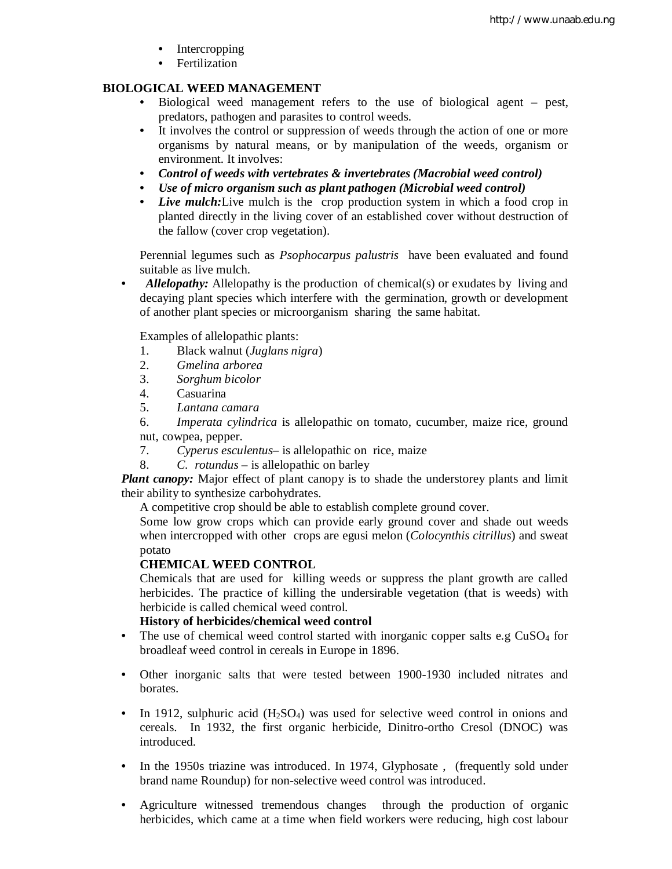- **Intercropping**
- Fertilization

## **BIOLOGICAL WEED MANAGEMENT**

- Biological weed management refers to the use of biological agent pest, predators, pathogen and parasites to control weeds.
- It involves the control or suppression of weeds through the action of one or more organisms by natural means, or by manipulation of the weeds, organism or environment. It involves:
- *Control of weeds with vertebrates & invertebrates (Macrobial weed control)*
- *Use of micro organism such as plant pathogen (Microbial weed control)*
- *Live mulch:*Live mulch is the crop production system in which a food crop in planted directly in the living cover of an established cover without destruction of the fallow (cover crop vegetation).

Perennial legumes such as *Psophocarpus palustris* have been evaluated and found suitable as live mulch.

• *Allelopathy:* Allelopathy is the production of chemical(s) or exudates by living and decaying plant species which interfere with the germination, growth or development of another plant species or microorganism sharing the same habitat.

Examples of allelopathic plants:

- 1. Black walnut (*Juglans nigra*)
- 2. *Gmelina arborea*
- 3. *Sorghum bicolor*
- 4. Casuarina
- 5. *Lantana camara*

6. *Imperata cylindrica* is allelopathic on tomato, cucumber, maize rice, ground nut, cowpea, pepper.

- 7. *Cyperus esculentus* is allelopathic on rice, maize
- 8. *C. rotundus* is allelopathic on barley

*Plant canopy:* Major effect of plant canopy is to shade the understorey plants and limit their ability to synthesize carbohydrates.

A competitive crop should be able to establish complete ground cover.

Some low grow crops which can provide early ground cover and shade out weeds when intercropped with other crops are egusi melon (*Colocynthis citrillus*) and sweat potato

## **CHEMICAL WEED CONTROL**

Chemicals that are used for killing weeds or suppress the plant growth are called herbicides. The practice of killing the undersirable vegetation (that is weeds) with herbicide is called chemical weed control.

## **History of herbicides/chemical weed control**

- The use of chemical weed control started with inorganic copper salts e.g  $CuSO<sub>4</sub>$  for broadleaf weed control in cereals in Europe in 1896.
- Other inorganic salts that were tested between 1900-1930 included nitrates and borates.
- In 1912, sulphuric acid  $(H_2SO_4)$  was used for selective weed control in onions and cereals. In 1932, the first organic herbicide, Dinitro-ortho Cresol (DNOC) was introduced.
- In the 1950s triazine was introduced. In 1974, Glyphosate, (frequently sold under brand name Roundup) for non-selective weed control was introduced.
- Agriculture witnessed tremendous changes through the production of organic herbicides, which came at a time when field workers were reducing, high cost labour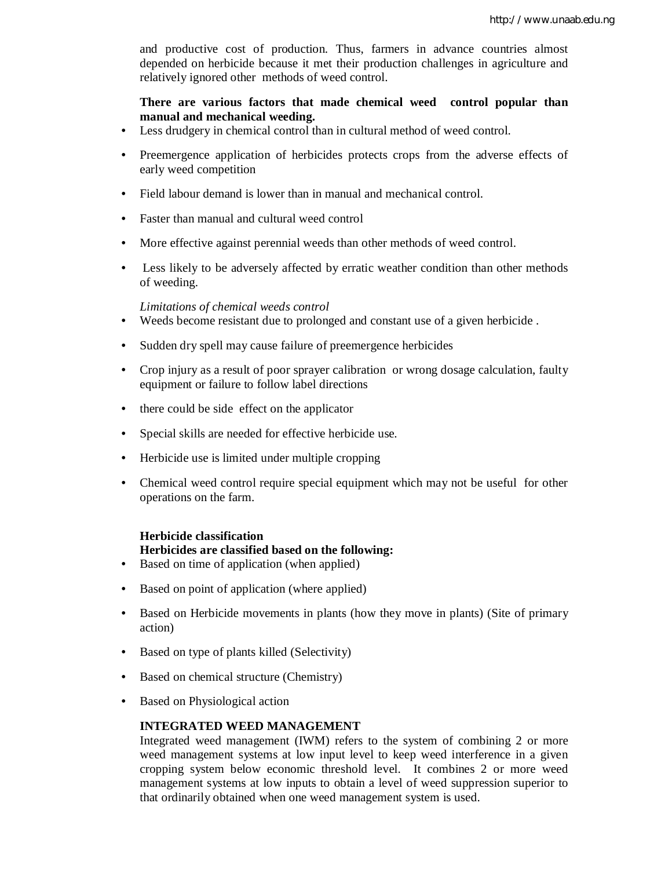and productive cost of production. Thus, farmers in advance countries almost depended on herbicide because it met their production challenges in agriculture and relatively ignored other methods of weed control.

**There are various factors that made chemical weed control popular than manual and mechanical weeding.**

- Less drudgery in chemical control than in cultural method of weed control.
- Preemergence application of herbicides protects crops from the adverse effects of early weed competition
- Field labour demand is lower than in manual and mechanical control.
- Faster than manual and cultural weed control
- More effective against perennial weeds than other methods of weed control.
- Less likely to be adversely affected by erratic weather condition than other methods of weeding.

*Limitations of chemical weeds control*

- Weeds become resistant due to prolonged and constant use of a given herbicide .
- Sudden dry spell may cause failure of preemergence herbicides
- Crop injury as a result of poor sprayer calibration or wrong dosage calculation, faulty equipment or failure to follow label directions
- there could be side effect on the applicator
- Special skills are needed for effective herbicide use.
- Herbicide use is limited under multiple cropping
- Chemical weed control require special equipment which may not be useful for other operations on the farm.

## **Herbicide classification**

## **Herbicides are classified based on the following:**

- Based on time of application (when applied)
- Based on point of application (where applied)
- Based on Herbicide movements in plants (how they move in plants) (Site of primary action)
- Based on type of plants killed (Selectivity)
- Based on chemical structure (Chemistry)
- Based on Physiological action

#### **INTEGRATED WEED MANAGEMENT**

Integrated weed management (IWM) refers to the system of combining 2 or more weed management systems at low input level to keep weed interference in a given cropping system below economic threshold level. It combines 2 or more weed management systems at low inputs to obtain a level of weed suppression superior to that ordinarily obtained when one weed management system is used.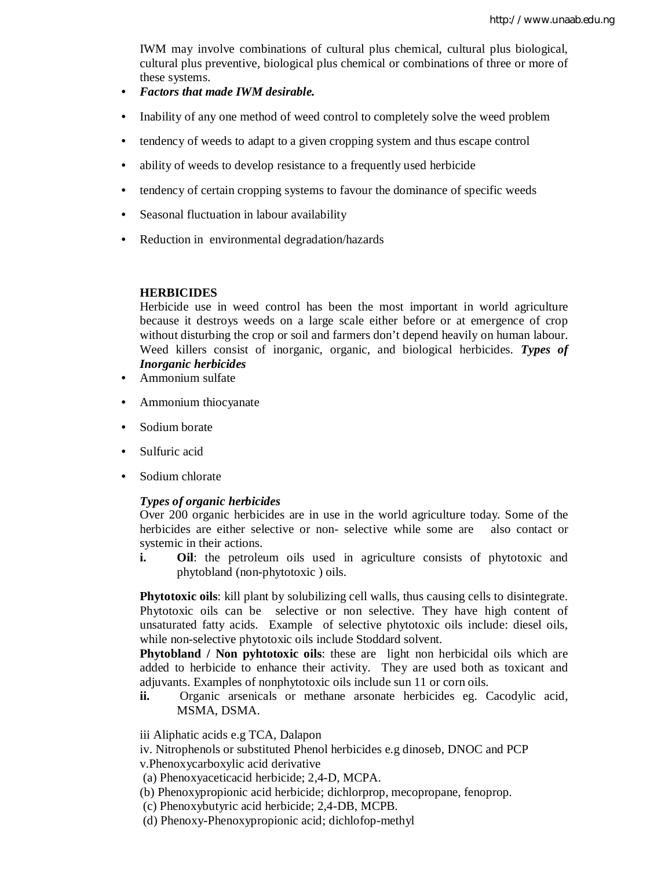IWM may involve combinations of cultural plus chemical, cultural plus biological, cultural plus preventive, biological plus chemical or combinations of three or more of these systems.

- *Factors that made IWM desirable.*
- Inability of any one method of weed control to completely solve the weed problem
- tendency of weeds to adapt to a given cropping system and thus escape control
- ability of weeds to develop resistance to a frequently used herbicide
- tendency of certain cropping systems to favour the dominance of specific weeds
- Seasonal fluctuation in labour availability
- Reduction in environmental degradation/hazards

#### **HERBICIDES**

Herbicide use in weed control has been the most important in world agriculture because it destroys weeds on a large scale either before or at emergence of crop without disturbing the crop or soil and farmers don't depend heavily on human labour. Weed killers consist of inorganic, organic, and biological herbicides. *Types of Inorganic herbicides*

- Ammonium sulfate
- Ammonium thiocyanate
- Sodium borate
- Sulfuric acid
- Sodium chlorate

#### *Types of organic herbicides*

Over 200 organic herbicides are in use in the world agriculture today. Some of the herbicides are either selective or non- selective while some are also contact or systemic in their actions.

**i. Oil**: the petroleum oils used in agriculture consists of phytotoxic and phytobland (non-phytotoxic ) oils.

**Phytotoxic oils**: kill plant by solubilizing cell walls, thus causing cells to disintegrate. Phytotoxic oils can be selective or non selective. They have high content of unsaturated fatty acids. Example of selective phytotoxic oils include: diesel oils, while non-selective phytotoxic oils include Stoddard solvent.

**Phytobland / Non pyhtotoxic oils**: these are light non herbicidal oils which are added to herbicide to enhance their activity. They are used both as toxicant and adjuvants. Examples of nonphytotoxic oils include sun 11 or corn oils.

**ii.** Organic arsenicals or methane arsonate herbicides eg. Cacodylic acid, MSMA, DSMA.

iii Aliphatic acids e.g TCA, Dalapon

iv. Nitrophenols or substituted Phenol herbicides e.g dinoseb, DNOC and PCP

v.Phenoxycarboxylic acid derivative

(a) Phenoxyaceticacid herbicide; 2,4-D, MCPA.

- (b) Phenoxypropionic acid herbicide; dichlorprop, mecopropane, fenoprop.
- (c) Phenoxybutyric acid herbicide; 2,4-DB, MCPB.
- (d) Phenoxy-Phenoxypropionic acid; dichlofop-methyl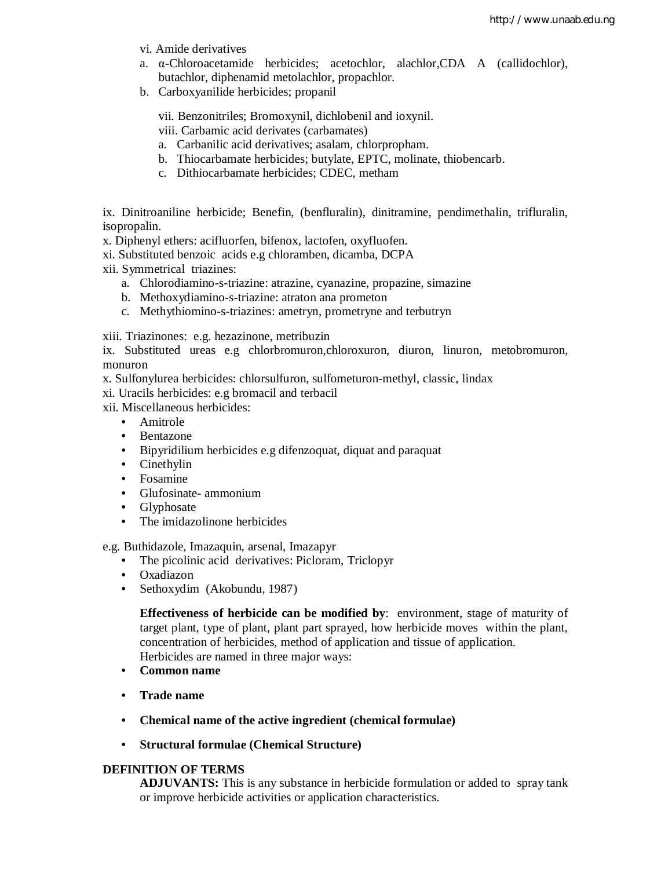- vi. Amide derivatives
- a. α-Chloroacetamide herbicides; acetochlor, alachlor,CDA A (callidochlor), butachlor, diphenamid metolachlor, propachlor.
- b. Carboxyanilide herbicides; propanil

vii. Benzonitriles; Bromoxynil, dichlobenil and ioxynil.

viii. Carbamic acid derivates (carbamates)

- a. Carbanilic acid derivatives; asalam, chlorpropham.
- b. Thiocarbamate herbicides; butylate, EPTC, molinate, thiobencarb.
- c. Dithiocarbamate herbicides; CDEC, metham

ix. Dinitroaniline herbicide; Benefin, (benfluralin), dinitramine, pendimethalin, trifluralin, isopropalin.

x. Diphenyl ethers: acifluorfen, bifenox, lactofen, oxyfluofen.

xi. Substituted benzoic acids e.g chloramben, dicamba, DCPA

xii. Symmetrical triazines:

- a. Chlorodiamino-s-triazine: atrazine, cyanazine, propazine, simazine
- b. Methoxydiamino-s-triazine: atraton ana prometon
- c. Methythiomino-s-triazines: ametryn, prometryne and terbutryn

xiii. Triazinones: e.g. hezazinone, metribuzin

ix. Substituted ureas e.g chlorbromuron,chloroxuron, diuron, linuron, metobromuron, monuron

x. Sulfonylurea herbicides: chlorsulfuron, sulfometuron-methyl, classic, lindax

xi. Uracils herbicides: e.g bromacil and terbacil

xii. Miscellaneous herbicides:

- Amitrole
- Bentazone
- Bipyridilium herbicides e.g difenzoquat, diquat and paraquat
- Cinethylin
- Fosamine
- Glufosinate- ammonium
- Glyphosate
- The imidazolinone herbicides

e.g. Buthidazole, Imazaquin, arsenal, Imazapyr

- The picolinic acid derivatives: Picloram, Triclopyr
- Oxadiazon
- Sethoxydim (Akobundu, 1987)

**Effectiveness of herbicide can be modified by**: environment, stage of maturity of target plant, type of plant, plant part sprayed, how herbicide moves within the plant, concentration of herbicides, method of application and tissue of application.

Herbicides are named in three major ways:

- **Common name**
- **Trade name**
- **Chemical name of the active ingredient (chemical formulae)**
- **Structural formulae (Chemical Structure)**

### **DEFINITION OF TERMS**

**ADJUVANTS:** This is any substance in herbicide formulation or added to spray tank or improve herbicide activities or application characteristics.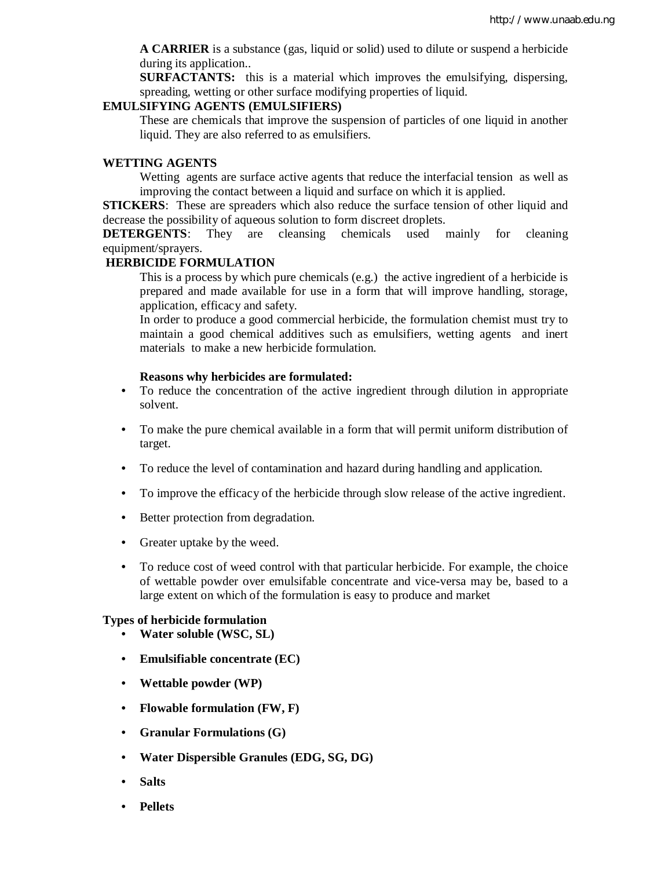**A CARRIER** is a substance (gas, liquid or solid) used to dilute or suspend a herbicide during its application..

**SURFACTANTS:** this is a material which improves the emulsifying, dispersing, spreading, wetting or other surface modifying properties of liquid.

#### **EMULSIFYING AGENTS (EMULSIFIERS)**

These are chemicals that improve the suspension of particles of one liquid in another liquid. They are also referred to as emulsifiers.

### **WETTING AGENTS**

Wetting agents are surface active agents that reduce the interfacial tension as well as improving the contact between a liquid and surface on which it is applied.

**STICKERS**: These are spreaders which also reduce the surface tension of other liquid and decrease the possibility of aqueous solution to form discreet droplets.

**DETERGENTS:** They are cleansing chemicals used mainly for cleaning equipment/sprayers.

#### **HERBICIDE FORMULATION**

This is a process by which pure chemicals (e.g.) the active ingredient of a herbicide is prepared and made available for use in a form that will improve handling, storage, application, efficacy and safety.

In order to produce a good commercial herbicide, the formulation chemist must try to maintain a good chemical additives such as emulsifiers, wetting agents and inert materials to make a new herbicide formulation.

#### **Reasons why herbicides are formulated:**

- To reduce the concentration of the active ingredient through dilution in appropriate solvent.
- To make the pure chemical available in a form that will permit uniform distribution of target.
- To reduce the level of contamination and hazard during handling and application.
- To improve the efficacy of the herbicide through slow release of the active ingredient.
- Better protection from degradation.
- Greater uptake by the weed.
- To reduce cost of weed control with that particular herbicide. For example, the choice of wettable powder over emulsifable concentrate and vice-versa may be, based to a large extent on which of the formulation is easy to produce and market

#### **Types of herbicide formulation**

- **Water soluble (WSC, SL)**
- **Emulsifiable concentrate (EC)**
- **Wettable powder (WP)**
- **Flowable formulation (FW, F)**
- **Granular Formulations (G)**
- **Water Dispersible Granules (EDG, SG, DG)**
- **Salts**
- **Pellets**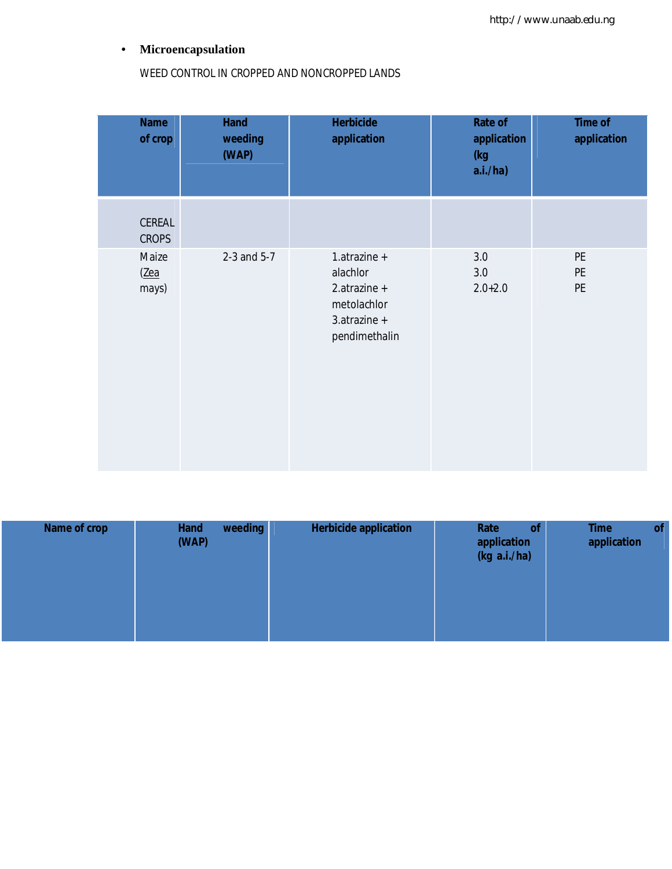## • **Microencapsulation**

WEED CONTROL IN CROPPED AND NONCROPPED LANDS

| <b>Name</b><br>of crop | <b>Hand</b><br>weeding<br>(WAP) | <b>Herbicide</b><br>application                                                          | <b>Rate of</b><br>application<br>(kg<br>a.i./ha) | <b>Time of</b><br>application        |
|------------------------|---------------------------------|------------------------------------------------------------------------------------------|--------------------------------------------------|--------------------------------------|
| CEREAL<br><b>CROPS</b> |                                 |                                                                                          |                                                  |                                      |
| Maize<br>(Zea<br>mays) | 2-3 and 5-7                     | 1.atrazine +<br>alachlor<br>2.atrazine +<br>metolachlor<br>3.atrazine +<br>pendimethalin | 3.0<br>$3.0\,$<br>$2.0 + 2.0$                    | PE<br>$\mathsf{PE}$<br>$\mathsf{PE}$ |

| Name of crop | weeding<br><b>Hand</b><br>(WAP) | <b>Herbicide application</b> | Rate<br>of<br>application<br>(kg a.i./ha) | of<br><b>Time</b><br>application |
|--------------|---------------------------------|------------------------------|-------------------------------------------|----------------------------------|
|              |                                 |                              |                                           |                                  |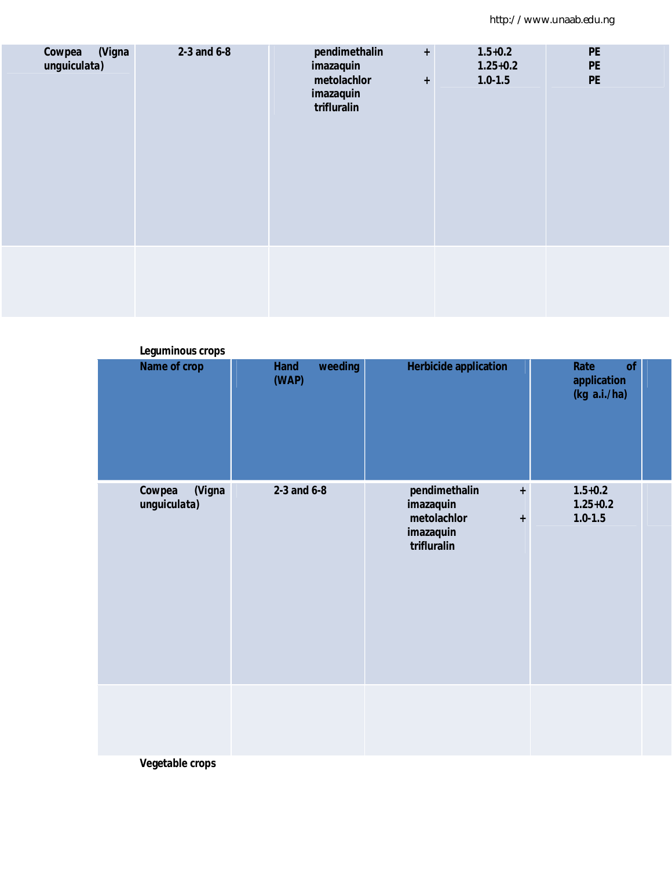| (Vigna<br>Cowpea<br>unguiculata) | 2-3 and 6-8 | pendimethalin<br>$\ddot{\phantom{1}}$<br>imazaquin<br>metolachlor<br>$\ddot{}$<br>imazaquin<br>trifluralin | $1.5 + 0.2$<br>$1.25 + 0.2$<br>$1.0 - 1.5$ | <b>PE</b><br><b>PE</b><br><b>PE</b> |
|----------------------------------|-------------|------------------------------------------------------------------------------------------------------------|--------------------------------------------|-------------------------------------|
|                                  |             |                                                                                                            |                                            |                                     |

| Leguminous crops                 |                                 |                                                                                         |                                            |
|----------------------------------|---------------------------------|-----------------------------------------------------------------------------------------|--------------------------------------------|
| Name of crop                     | <b>Hand</b><br>weeding<br>(WAP) | <b>Herbicide application</b>                                                            | Rate<br>of<br>application<br>(kg a.i./ha)  |
| (Vigna<br>Cowpea<br>unguiculata) | 2-3 and 6-8                     | pendimethalin<br>$\pm$<br>imazaquin<br>metolachlor<br>$\pm$<br>imazaquin<br>trifluralin | $1.5 + 0.2$<br>$1.25 + 0.2$<br>$1.0 - 1.5$ |
| $M = -11 - 11$                   |                                 |                                                                                         |                                            |

**Vegetable crops**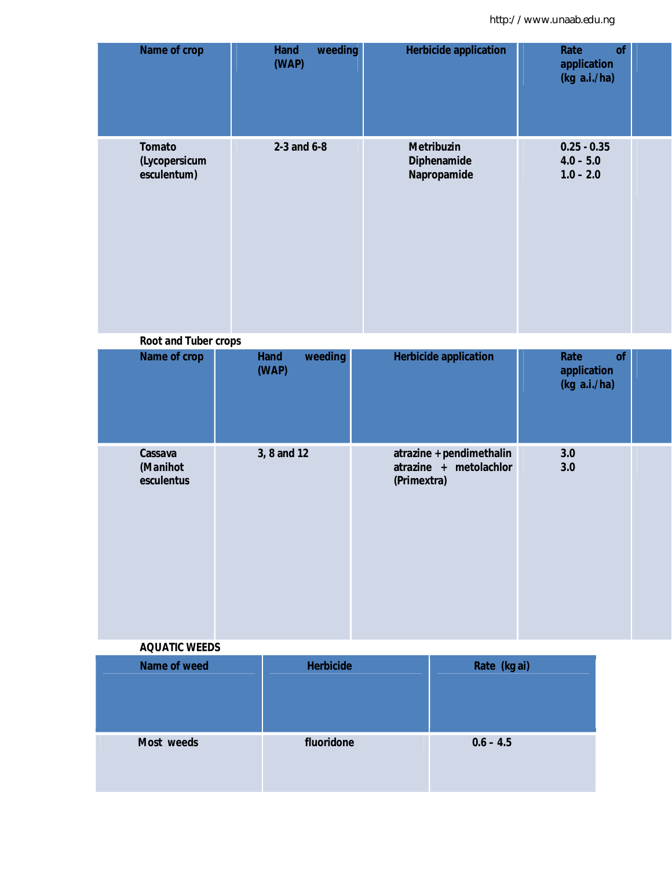| Name of crop                                  | weeding<br><b>Hand</b><br>(WAP) | <b>Herbicide application</b>                                      | Rate<br>of<br>application<br>(kg a.i./ha)   |
|-----------------------------------------------|---------------------------------|-------------------------------------------------------------------|---------------------------------------------|
| <b>Tomato</b><br>(Lycopersicum<br>esculentum) | 2-3 and $6-8$                   | <b>Metribuzin</b><br><b>Diphenamide</b><br>Napropamide            | $0.25 - 0.35$<br>$4.0 - 5.0$<br>$1.0 - 2.0$ |
| <b>Root and Tuber crops</b>                   |                                 |                                                                   |                                             |
| Name of crop                                  | <b>Hand</b><br>weeding<br>(WAP) | <b>Herbicide application</b>                                      | Rate<br>of<br>application<br>(kg a.i./ha)   |
| Cassava<br>(Manihot<br>esculentus             | 3, 8 and 12                     | atrazine + pendimethalin<br>atrazine + metolachlor<br>(Primextra) | 3.0<br>3.0                                  |
| <b>AQUATIC WEEDS</b>                          |                                 |                                                                   |                                             |
| <b>Name of weed</b>                           | <b>Herbicide</b>                | Rate (kg ai)                                                      |                                             |
| Most weeds                                    | fluoridone                      | $0.6 - 4.5$                                                       |                                             |